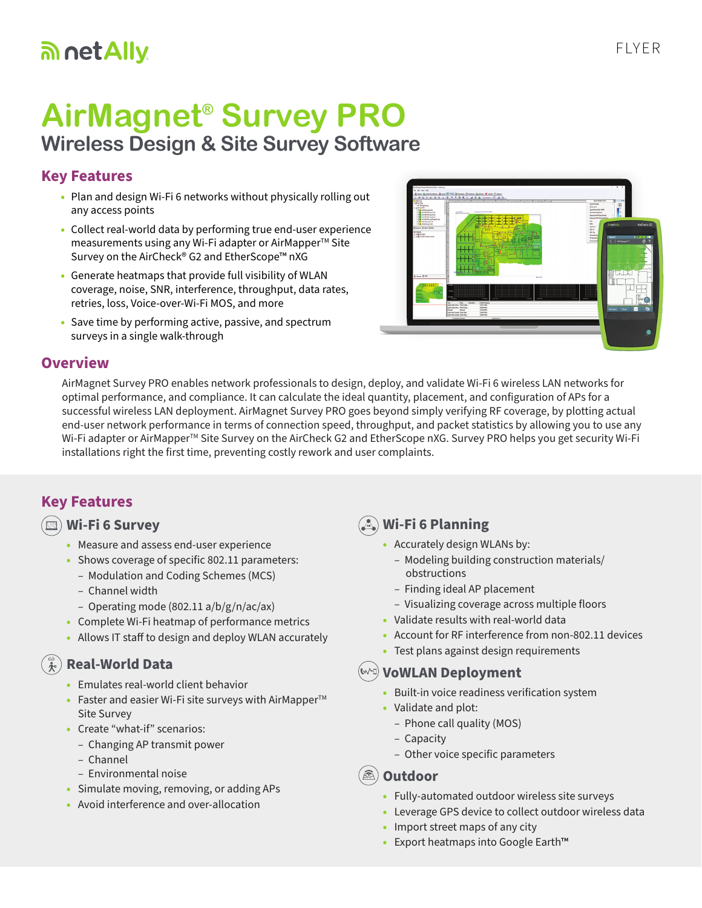## an net Ally

# **AirMagnet® Survey PRO**

**Wireless Design & Site Survey Software**

### **Key Features**

- Plan and design Wi-Fi 6 networks without physically rolling out any access points
- Collect real-world data by performing true end-user experience measurements using any Wi-Fi adapter or AirMapper<sup>™</sup> Site Survey on the AirCheck® G2 and EtherScope™ nXG
- Generate heatmaps that provide full visibility of WLAN coverage, noise, SNR, interference, throughput, data rates, retries, loss, Voice-over-Wi-Fi MOS, and more
- Save time by performing active, passive, and spectrum surveys in a single walk-through



#### **Overview**

AirMagnet Survey PRO enables network professionals to design, deploy, and validate Wi-Fi 6 wireless LAN networks for optimal performance, and compliance. It can calculate the ideal quantity, placement, and configuration of APs for a successful wireless LAN deployment. AirMagnet Survey PRO goes beyond simply verifying RF coverage, by plotting actual end-user network performance in terms of connection speed, throughput, and packet statistics by allowing you to use any Wi-Fi adapter or AirMapper<sup>™</sup> Site Survey on the AirCheck G2 and EtherScope nXG. Survey PRO helps you get security Wi-Fi installations right the first time, preventing costly rework and user complaints.

#### **Key Features**

#### **Wi-Fi 6 Survey**

- Measure and assess end-user experience
- Shows coverage of specific 802.11 parameters:
	- Modulation and Coding Schemes (MCS)
	- Channel width
	- Operating mode (802.11 a/b/g/n/ac/ax)
- Complete Wi-Fi heatmap of performance metrics
- Allows IT staff to design and deploy WLAN accurately

#### **Real-World Data**  $\overline{A}$

- Emulates real-world client behavior
- Faster and easier Wi-Fi site surveys with AirMapper $TM$ Site Survey
- Create "what-if" scenarios:
	- Changing AP transmit power
	- Channel
	- Environmental noise
- Simulate moving, removing, or adding APs
- Avoid interference and over-allocation

## **Wi-Fi 6 Planning**

- Accurately design WLANs by:
	- Modeling building construction materials/ obstructions
	- Finding ideal AP placement
	- Visualizing coverage across multiple floors
- Validate results with real-world data
- Account for RF interference from non-802.11 devices
- Test plans against design requirements

#### **VoWLAN Deployment**

- Built-in voice readiness verification system
- Validate and plot:
	- Phone call quality (MOS)
	- Capacity
	- Other voice specific parameters
- **Outdoor**
	- Fully-automated outdoor wireless site surveys
	- Leverage GPS device to collect outdoor wireless data
	- Import street maps of any city
	- Export heatmaps into Google Earth™